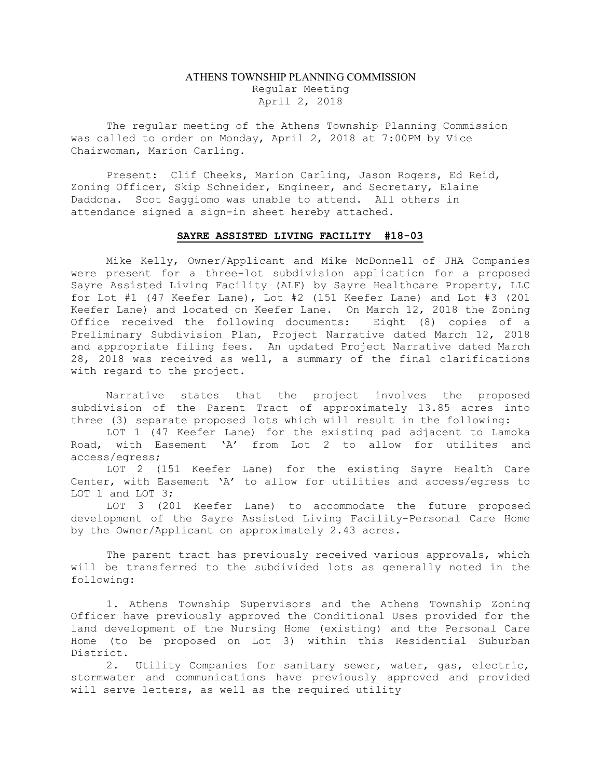## ATHENS TOWNSHIP PLANNING COMMISSION Regular Meeting April 2, 2018

The regular meeting of the Athens Township Planning Commission was called to order on Monday, April 2, 2018 at 7:00PM by Vice Chairwoman, Marion Carling.

Present: Clif Cheeks, Marion Carling, Jason Rogers, Ed Reid, Zoning Officer, Skip Schneider, Engineer, and Secretary, Elaine Daddona. Scot Saggiomo was unable to attend. All others in attendance signed a sign-in sheet hereby attached.

## SAYRE ASSISTED LIVING FACILITY #18-03

Mike Kelly, Owner/Applicant and Mike McDonnell of JHA Companies were present for a three-lot subdivision application for a proposed Sayre Assisted Living Facility (ALF) by Sayre Healthcare Property, LLC for Lot #1 (47 Keefer Lane), Lot #2 (151 Keefer Lane) and Lot #3 (201 Keefer Lane) and located on Keefer Lane. On March 12, 2018 the Zoning<br>Office received the following documents: Eight (8) copies of a Office received the following documents: Preliminary Subdivision Plan, Project Narrative dated March 12, 2018 and appropriate filing fees. An updated Project Narrative dated March 28, 2018 was received as well, a summary of the final clarifications with regard to the project.

Narrative states that the project involves the proposed subdivision of the Parent Tract of approximately 13.85 acres into three (3) separate proposed lots which will result in the following:

LOT 1 (47 Keefer Lane) for the existing pad adjacent to Lamoka Road, with Easement 'A' from Lot 2 to allow for utilites and access/egress;

LOT 2 (151 Keefer Lane) for the existing Sayre Health Care Center, with Easement 'A' to allow for utilities and access/egress to LOT 1 and LOT 3;

LOT 3 (201 Keefer Lane) to accommodate the future proposed development of the Sayre Assisted Living Facility-Personal Care Home by the Owner/Applicant on approximately 2.43 acres.

The parent tract has previously received various approvals, which will be transferred to the subdivided lots as generally noted in the following:

1. Athens Township Supervisors and the Athens Township Zoning Officer have previously approved the Conditional Uses provided for the land development of the Nursing Home (existing) and the Personal Care Home (to be proposed on Lot 3) within this Residential Suburban District.

2. Utility Companies for sanitary sewer, water, gas, electric, stormwater and communications have previously approved and provided will serve letters, as well as the required utility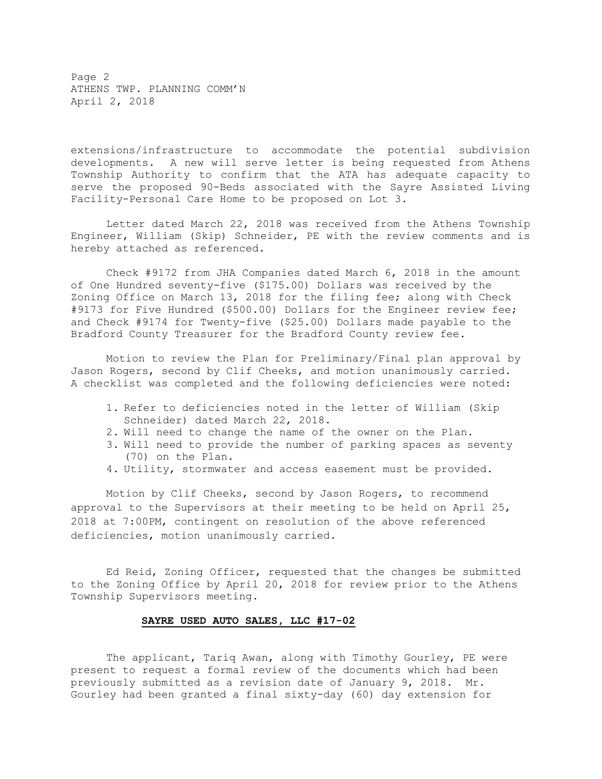Page 2 ATHENS TWP. PLANNING COMM'N April 2, 2018

extensions/infrastructure to accommodate the potential subdivision developments. A new will serve letter is being requested from Athens Township Authority to confirm that the ATA has adequate capacity to serve the proposed 90-Beds associated with the Sayre Assisted Living Facility-Personal Care Home to be proposed on Lot 3.

Letter dated March 22, 2018 was received from the Athens Township Engineer, William (Skip) Schneider, PE with the review comments and is hereby attached as referenced.

Check #9172 from JHA Companies dated March 6, 2018 in the amount of One Hundred seventy-five (\$175.00) Dollars was received by the Zoning Office on March 13, 2018 for the filing fee; along with Check #9173 for Five Hundred (\$500.00) Dollars for the Engineer review fee; and Check #9174 for Twenty-five (\$25.00) Dollars made payable to the Bradford County Treasurer for the Bradford County review fee.

Motion to review the Plan for Preliminary/Final plan approval by Jason Rogers, second by Clif Cheeks, and motion unanimously carried. A checklist was completed and the following deficiencies were noted:

- 1. Refer to deficiencies noted in the letter of William (Skip Schneider) dated March 22, 2018.
- 2. Will need to change the name of the owner on the Plan.
- 3. Will need to provide the number of parking spaces as seventy (70) on the Plan.
- 4. Utility, stormwater and access easement must be provided.

Motion by Clif Cheeks, second by Jason Rogers, to recommend approval to the Supervisors at their meeting to be held on April 25, 2018 at 7:00PM, contingent on resolution of the above referenced deficiencies, motion unanimously carried.

Ed Reid, Zoning Officer, requested that the changes be submitted to the Zoning Office by April 20, 2018 for review prior to the Athens Township Supervisors meeting.

## SAYRE USED AUTO SALES, LLC #17-02

The applicant, Tariq Awan, along with Timothy Gourley, PE were present to request a formal review of the documents which had been previously submitted as a revision date of January 9, 2018. Mr. Gourley had been granted a final sixty-day (60) day extension for